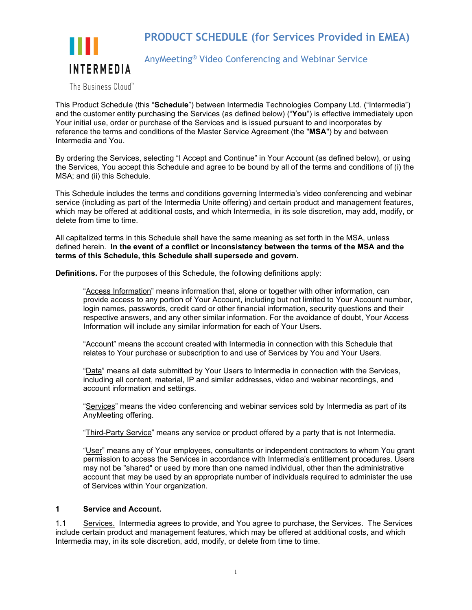

# **PRODUCT SCHEDULE (for Services Provided in EMEA)**

AnyMeeting® Video Conferencing and Webinar Service

The Business Cloud™

This Product Schedule (this "**Schedule**") between Intermedia Technologies Company Ltd. ("Intermedia") and the customer entity purchasing the Services (as defined below) ("**You**") is effective immediately upon Your initial use, order or purchase of the Services and is issued pursuant to and incorporates by reference the terms and conditions of the Master Service Agreement (the "**MSA**") by and between Intermedia and You.

By ordering the Services, selecting "I Accept and Continue" in Your Account (as defined below), or using the Services, You accept this Schedule and agree to be bound by all of the terms and conditions of (i) the MSA; and (ii) this Schedule.

This Schedule includes the terms and conditions governing Intermedia's video conferencing and webinar service (including as part of the Intermedia Unite offering) and certain product and management features, which may be offered at additional costs, and which Intermedia, in its sole discretion, may add, modify, or delete from time to time.

All capitalized terms in this Schedule shall have the same meaning as set forth in the MSA, unless defined herein. **In the event of a conflict or inconsistency between the terms of the MSA and the terms of this Schedule, this Schedule shall supersede and govern.**

**Definitions.** For the purposes of this Schedule, the following definitions apply:

"Access Information" means information that, alone or together with other information, can provide access to any portion of Your Account, including but not limited to Your Account number, login names, passwords, credit card or other financial information, security questions and their respective answers, and any other similar information. For the avoidance of doubt, Your Access Information will include any similar information for each of Your Users.

"Account" means the account created with Intermedia in connection with this Schedule that relates to Your purchase or subscription to and use of Services by You and Your Users.

"Data" means all data submitted by Your Users to Intermedia in connection with the Services, including all content, material, IP and similar addresses, video and webinar recordings, and account information and settings.

"Services" means the video conferencing and webinar services sold by Intermedia as part of its AnyMeeting offering.

"Third-Party Service" means any service or product offered by a party that is not Intermedia.

"User" means any of Your employees, consultants or independent contractors to whom You grant permission to access the Services in accordance with Intermedia's entitlement procedures. Users may not be "shared" or used by more than one named individual, other than the administrative account that may be used by an appropriate number of individuals required to administer the use of Services within Your organization.

### **1 Service and Account.**

1.1 Services. Intermedia agrees to provide, and You agree to purchase, the Services. The Services include certain product and management features, which may be offered at additional costs, and which Intermedia may, in its sole discretion, add, modify, or delete from time to time.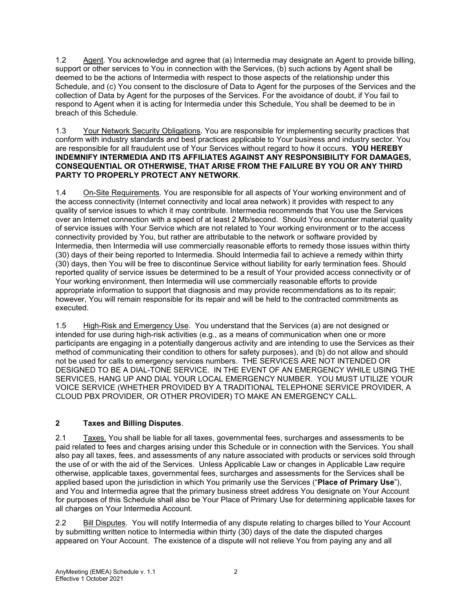1.2 Agent. You acknowledge and agree that (a) Intermedia may designate an Agent to provide billing, support or other services to You in connection with the Services, (b) such actions by Agent shall be deemed to be the actions of Intermedia with respect to those aspects of the relationship under this Schedule, and (c) You consent to the disclosure of Data to Agent for the purposes of the Services and the collection of Data by Agent for the purposes of the Services. For the avoidance of doubt, if You fail to respond to Agent when it is acting for Intermedia under this Schedule, You shall be deemed to be in breach of this Schedule.

#### 1.3 Your Network Security Obligations. You are responsible for implementing security practices that conform with industry standards and best practices applicable to Your business and industry sector. You are responsible for all fraudulent use of Your Services without regard to how it occurs. **YOU HEREBY INDEMNIFY INTERMEDIA AND ITS AFFILIATES AGAINST ANY RESPONSIBILITY FOR DAMAGES, CONSEQUENTIAL OR OTHERWISE, THAT ARISE FROM THE FAILURE BY YOU OR ANY THIRD PARTY TO PROPERLY PROTECT ANY NETWORK**.

1.4 On-Site Requirements. You are responsible for all aspects of Your working environment and of the access connectivity (Internet connectivity and local area network) it provides with respect to any quality of service issues to which it may contribute. Intermedia recommends that You use the Services over an Internet connection with a speed of at least 2 Mb/second. Should You encounter material quality of service issues with Your Service which are not related to Your working environment or to the access connectivity provided by You, but rather are attributable to the network or software provided by Intermedia, then Intermedia will use commercially reasonable efforts to remedy those issues within thirty (30) days of their being reported to Intermedia. Should Intermedia fail to achieve a remedy within thirty (30) days, then You will be free to discontinue Service without liability for early termination fees. Should reported quality of service issues be determined to be a result of Your provided access connectivity or of Your working environment, then Intermedia will use commercially reasonable efforts to provide appropriate information to support that diagnosis and may provide recommendations as to its repair; however, You will remain responsible for its repair and will be held to the contracted commitments as executed.

1.5 High-Risk and Emergency Use. You understand that the Services (a) are not designed or intended for use during high-risk activities (e.g., as a means of communication when one or more participants are engaging in a potentially dangerous activity and are intending to use the Services as their method of communicating their condition to others for safety purposes), and (b) do not allow and should not be used for calls to emergency services numbers. THE SERVICES ARE NOT INTENDED OR DESIGNED TO BE A DIAL-TONE SERVICE. IN THE EVENT OF AN EMERGENCY WHILE USING THE SERVICES, HANG UP AND DIAL YOUR LOCAL EMERGENCY NUMBER. YOU MUST UTILIZE YOUR VOICE SERVICE (WHETHER PROVIDED BY A TRADITIONAL TELEPHONE SERVICE PROVIDER, A CLOUD PBX PROVIDER, OR OTHER PROVIDER) TO MAKE AN EMERGENCY CALL.

# **2 Taxes and Billing Disputes**.

2.1 Taxes. You shall be liable for all taxes, governmental fees, surcharges and assessments to be paid related to fees and charges arising under this Schedule or in connection with the Services. You shall also pay all taxes, fees, and assessments of any nature associated with products or services sold through the use of or with the aid of the Services. Unless Applicable Law or changes in Applicable Law require otherwise, applicable taxes, governmental fees, surcharges and assessments for the Services shall be applied based upon the jurisdiction in which You primarily use the Services ("**Place of Primary Use**"), and You and Intermedia agree that the primary business street address You designate on Your Account for purposes of this Schedule shall also be Your Place of Primary Use for determining applicable taxes for all charges on Your Intermedia Account.

2.2 Bill Disputes. You will notify Intermedia of any dispute relating to charges billed to Your Account by submitting written notice to Intermedia within thirty (30) days of the date the disputed charges appeared on Your Account. The existence of a dispute will not relieve You from paying any and all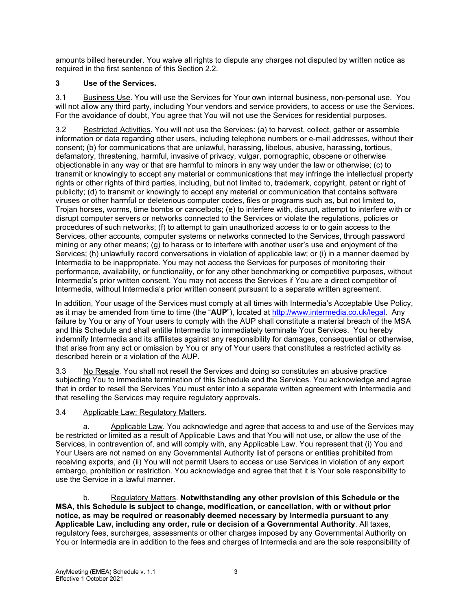amounts billed hereunder. You waive all rights to dispute any charges not disputed by written notice as required in the first sentence of this Section 2.2.

# **3 Use of the Services.**

3.1 Business Use. You will use the Services for Your own internal business, non-personal use. You will not allow any third party, including Your vendors and service providers, to access or use the Services. For the avoidance of doubt, You agree that You will not use the Services for residential purposes.

3.2 Restricted Activities. You will not use the Services: (a) to harvest, collect, gather or assemble information or data regarding other users, including telephone numbers or e-mail addresses, without their consent; (b) for communications that are unlawful, harassing, libelous, abusive, harassing, tortious, defamatory, threatening, harmful, invasive of privacy, vulgar, pornographic, obscene or otherwise objectionable in any way or that are harmful to minors in any way under the law or otherwise; (c) to transmit or knowingly to accept any material or communications that may infringe the intellectual property rights or other rights of third parties, including, but not limited to, trademark, copyright, patent or right of publicity; (d) to transmit or knowingly to accept any material or communication that contains software viruses or other harmful or deleterious computer codes, files or programs such as, but not limited to, Trojan horses, worms, time bombs or cancelbots; (e) to interfere with, disrupt, attempt to interfere with or disrupt computer servers or networks connected to the Services or violate the regulations, policies or procedures of such networks; (f) to attempt to gain unauthorized access to or to gain access to the Services, other accounts, computer systems or networks connected to the Services, through password mining or any other means; (g) to harass or to interfere with another user's use and enjoyment of the Services; (h) unlawfully record conversations in violation of applicable law; or (i) in a manner deemed by Intermedia to be inappropriate. You may not access the Services for purposes of monitoring their performance, availability, or functionality, or for any other benchmarking or competitive purposes, without Intermedia's prior written consent. You may not access the Services if You are a direct competitor of Intermedia, without Intermedia's prior written consent pursuant to a separate written agreement.

In addition, Your usage of the Services must comply at all times with Intermedia's Acceptable Use Policy, as it may be amended from time to time (the "**AUP**"), located at [http://www.intermedia.co.uk/legal.](http://www.intermedia.co.uk/legal) Any failure by You or any of Your users to comply with the AUP shall constitute a material breach of the MSA and this Schedule and shall entitle Intermedia to immediately terminate Your Services. You hereby indemnify Intermedia and its affiliates against any responsibility for damages, consequential or otherwise, that arise from any act or omission by You or any of Your users that constitutes a restricted activity as described herein or a violation of the AUP.

3.3 No Resale. You shall not resell the Services and doing so constitutes an abusive practice subjecting You to immediate termination of this Schedule and the Services. You acknowledge and agree that in order to resell the Services You must enter into a separate written agreement with Intermedia and that reselling the Services may require regulatory approvals.

### 3.4 Applicable Law; Regulatory Matters.

a. Applicable Law. You acknowledge and agree that access to and use of the Services may be restricted or limited as a result of Applicable Laws and that You will not use, or allow the use of the Services, in contravention of, and will comply with, any Applicable Law. You represent that (i) You and Your Users are not named on any Governmental Authority list of persons or entities prohibited from receiving exports, and (ii) You will not permit Users to access or use Services in violation of any export embargo, prohibition or restriction. You acknowledge and agree that that it is Your sole responsibility to use the Service in a lawful manner.

b. Regulatory Matters. **Notwithstanding any other provision of this Schedule or the MSA, this Schedule is subject to change, modification, or cancellation, with or without prior notice, as may be required or reasonably deemed necessary by Intermedia pursuant to any Applicable Law, including any order, rule or decision of a Governmental Authority**. All taxes, regulatory fees, surcharges, assessments or other charges imposed by any Governmental Authority on You or Intermedia are in addition to the fees and charges of Intermedia and are the sole responsibility of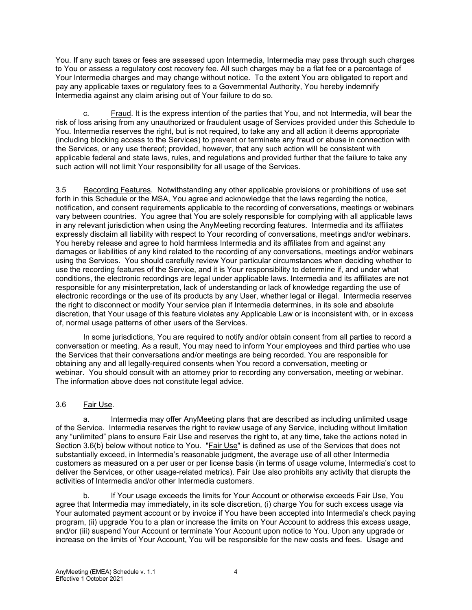You. If any such taxes or fees are assessed upon Intermedia, Intermedia may pass through such charges to You or assess a regulatory cost recovery fee. All such charges may be a flat fee or a percentage of Your Intermedia charges and may change without notice. To the extent You are obligated to report and pay any applicable taxes or regulatory fees to a Governmental Authority, You hereby indemnify Intermedia against any claim arising out of Your failure to do so.

c. Fraud. It is the express intention of the parties that You, and not Intermedia, will bear the risk of loss arising from any unauthorized or fraudulent usage of Services provided under this Schedule to You. Intermedia reserves the right, but is not required, to take any and all action it deems appropriate (including blocking access to the Services) to prevent or terminate any fraud or abuse in connection with the Services, or any use thereof; provided, however, that any such action will be consistent with applicable federal and state laws, rules, and regulations and provided further that the failure to take any such action will not limit Your responsibility for all usage of the Services.

3.5 Recording Features. Notwithstanding any other applicable provisions or prohibitions of use set forth in this Schedule or the MSA, You agree and acknowledge that the laws regarding the notice, notification, and consent requirements applicable to the recording of conversations, meetings or webinars vary between countries. You agree that You are solely responsible for complying with all applicable laws in any relevant jurisdiction when using the AnyMeeting recording features. Intermedia and its affiliates expressly disclaim all liability with respect to Your recording of conversations, meetings and/or webinars. You hereby release and agree to hold harmless Intermedia and its affiliates from and against any damages or liabilities of any kind related to the recording of any conversations, meetings and/or webinars using the Services. You should carefully review Your particular circumstances when deciding whether to use the recording features of the Service, and it is Your responsibility to determine if, and under what conditions, the electronic recordings are legal under applicable laws. Intermedia and its affiliates are not responsible for any misinterpretation, lack of understanding or lack of knowledge regarding the use of electronic recordings or the use of its products by any User, whether legal or illegal. Intermedia reserves the right to disconnect or modify Your service plan if Intermedia determines, in its sole and absolute discretion, that Your usage of this feature violates any Applicable Law or is inconsistent with, or in excess of, normal usage patterns of other users of the Services.

In some jurisdictions, You are required to notify and/or obtain consent from all parties to record a conversation or meeting. As a result, You may need to inform Your employees and third parties who use the Services that their conversations and/or meetings are being recorded. You are responsible for obtaining any and all legally-required consents when You record a conversation, meeting or webinar. You should consult with an attorney prior to recording any conversation, meeting or webinar. The information above does not constitute legal advice.

### 3.6 Fair Use*.*

a. Intermedia may offer AnyMeeting plans that are described as including unlimited usage of the Service. Intermedia reserves the right to review usage of any Service, including without limitation any "unlimited" plans to ensure Fair Use and reserves the right to, at any time, take the actions noted in Section 3.6(b) below without notice to You. "Fair Use" is defined as use of the Services that does not substantially exceed, in Intermedia's reasonable judgment, the average use of all other Intermedia customers as measured on a per user or per license basis (in terms of usage volume, Intermedia's cost to deliver the Services, or other usage-related metrics). Fair Use also prohibits any activity that disrupts the activities of Intermedia and/or other Intermedia customers.

b. If Your usage exceeds the limits for Your Account or otherwise exceeds Fair Use, You agree that Intermedia may immediately, in its sole discretion, (i) charge You for such excess usage via Your automated payment account or by invoice if You have been accepted into Intermedia's check paying program, (ii) upgrade You to a plan or increase the limits on Your Account to address this excess usage, and/or (iii) suspend Your Account or terminate Your Account upon notice to You. Upon any upgrade or increase on the limits of Your Account, You will be responsible for the new costs and fees. Usage and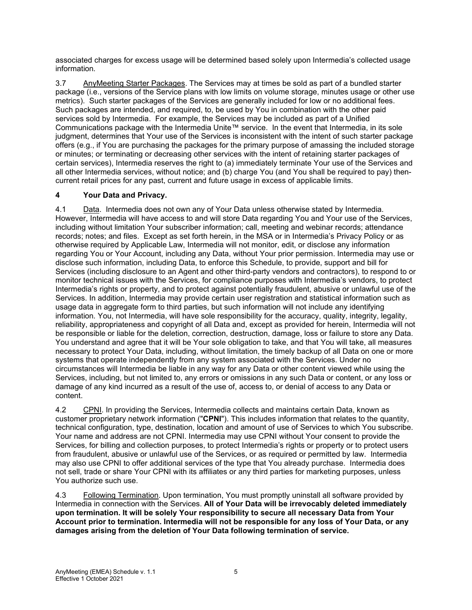associated charges for excess usage will be determined based solely upon Intermedia's collected usage information.

3.7 AnyMeeting Starter Packages. The Services may at times be sold as part of a bundled starter package (i.e., versions of the Service plans with low limits on volume storage, minutes usage or other use metrics). Such starter packages of the Services are generally included for low or no additional fees. Such packages are intended, and required, to, be used by You in combination with the other paid services sold by Intermedia. For example, the Services may be included as part of a Unified Communications package with the Intermedia Unite™ service. In the event that Intermedia, in its sole judgment, determines that Your use of the Services is inconsistent with the intent of such starter package offers (e.g., if You are purchasing the packages for the primary purpose of amassing the included storage or minutes; or terminating or decreasing other services with the intent of retaining starter packages of certain services), Intermedia reserves the right to (a) immediately terminate Your use of the Services and all other Intermedia services, without notice; and (b) charge You (and You shall be required to pay) thencurrent retail prices for any past, current and future usage in excess of applicable limits.

## **4 Your Data and Privacy.**

4.1 Data. Intermedia does not own any of Your Data unless otherwise stated by Intermedia. However, Intermedia will have access to and will store Data regarding You and Your use of the Services, including without limitation Your subscriber information; call, meeting and webinar records; attendance records; notes; and files. Except as set forth herein, in the MSA or in Intermedia's Privacy Policy or as otherwise required by Applicable Law, Intermedia will not monitor, edit, or disclose any information regarding You or Your Account, including any Data, without Your prior permission. Intermedia may use or disclose such information, including Data, to enforce this Schedule, to provide, support and bill for Services (including disclosure to an Agent and other third-party vendors and contractors), to respond to or monitor technical issues with the Services, for compliance purposes with Intermedia's vendors, to protect Intermedia's rights or property, and to protect against potentially fraudulent, abusive or unlawful use of the Services. In addition, Intermedia may provide certain user registration and statistical information such as usage data in aggregate form to third parties, but such information will not include any identifying information. You, not Intermedia, will have sole responsibility for the accuracy, quality, integrity, legality, reliability, appropriateness and copyright of all Data and, except as provided for herein, Intermedia will not be responsible or liable for the deletion, correction, destruction, damage, loss or failure to store any Data. You understand and agree that it will be Your sole obligation to take, and that You will take, all measures necessary to protect Your Data, including, without limitation, the timely backup of all Data on one or more systems that operate independently from any system associated with the Services. Under no circumstances will Intermedia be liable in any way for any Data or other content viewed while using the Services, including, but not limited to, any errors or omissions in any such Data or content, or any loss or damage of any kind incurred as a result of the use of, access to, or denial of access to any Data or content.

4.2 CPNI. In providing the Services, Intermedia collects and maintains certain Data, known as customer proprietary network information ("**CPNI**"). This includes information that relates to the quantity, technical configuration, type, destination, location and amount of use of Services to which You subscribe. Your name and address are not CPNI. Intermedia may use CPNI without Your consent to provide the Services, for billing and collection purposes, to protect Intermedia's rights or property or to protect users from fraudulent, abusive or unlawful use of the Services, or as required or permitted by law. Intermedia may also use CPNI to offer additional services of the type that You already purchase. Intermedia does not sell, trade or share Your CPNI with its affiliates or any third parties for marketing purposes, unless You authorize such use.

4.3 Following Termination. Upon termination, You must promptly uninstall all software provided by Intermedia in connection with the Services. **All of Your Data will be irrevocably deleted immediately upon termination. It will be solely Your responsibility to secure all necessary Data from Your Account prior to termination. Intermedia will not be responsible for any loss of Your Data, or any damages arising from the deletion of Your Data following termination of service.**